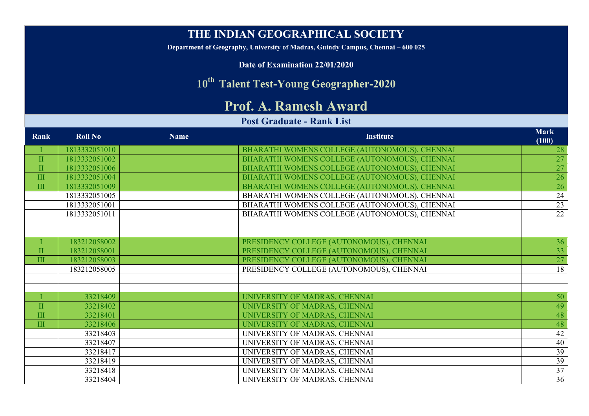## **THE INDIAN GEOGRAPHICAL SOCIETY**

**Department of Geography, University of Madras, Guindy Campus, Chennai – 600 025**

**Date of Examination 22/01/2020**

## **10th Talent Test-Young Geographer-2020**

## **Prof. A. Ramesh Award**

## **Post Graduate - Rank List**

| Rank                    | <b>Roll No</b> | <b>Name</b> | <b>Institute</b>                              | <b>Mark</b><br>(100) |
|-------------------------|----------------|-------------|-----------------------------------------------|----------------------|
|                         | 1813332051010  |             | BHARATHI WOMENS COLLEGE (AUTONOMOUS), CHENNAI | 28                   |
| $\mathbf{I}$            | 1813332051002  |             | BHARATHI WOMENS COLLEGE (AUTONOMOUS), CHENNAI | 27                   |
| $\mathbf{I}$            | 1813332051006  |             | BHARATHI WOMENS COLLEGE (AUTONOMOUS), CHENNAI | 27                   |
| $\rm III$               | 1813332051004  |             | BHARATHI WOMENS COLLEGE (AUTONOMOUS), CHENNAI | 26                   |
| III                     | 1813332051009  |             | BHARATHI WOMENS COLLEGE (AUTONOMOUS), CHENNAI | 26                   |
|                         | 1813332051005  |             | BHARATHI WOMENS COLLEGE (AUTONOMOUS), CHENNAI | 24                   |
|                         | 1813332051001  |             | BHARATHI WOMENS COLLEGE (AUTONOMOUS), CHENNAI | 23                   |
|                         | 1813332051011  |             | BHARATHI WOMENS COLLEGE (AUTONOMOUS), CHENNAI | 22                   |
|                         |                |             |                                               |                      |
|                         |                |             |                                               |                      |
|                         | 183212058002   |             | PRESIDENCY COLLEGE (AUTONOMOUS), CHENNAI      | 36                   |
| $\mathbf{I}$            | 183212058001   |             | PRESIDENCY COLLEGE (AUTONOMOUS), CHENNAI      | 33                   |
| $\overline{\mathbf{H}}$ | 183212058003   |             | PRESIDENCY COLLEGE (AUTONOMOUS), CHENNAI      | 27                   |
|                         | 183212058005   |             | PRESIDENCY COLLEGE (AUTONOMOUS), CHENNAI      | 18                   |
|                         |                |             |                                               |                      |
|                         |                |             |                                               |                      |
|                         | 33218409       |             | UNIVERSITY OF MADRAS, CHENNAI                 | 50                   |
| $\overline{\mathbf{u}}$ | 33218402       |             | UNIVERSITY OF MADRAS, CHENNAI                 | 49                   |
| III                     | 33218401       |             | UNIVERSITY OF MADRAS, CHENNAI                 | 48                   |
| $\overline{\mathbf{H}}$ | 33218406       |             | UNIVERSITY OF MADRAS, CHENNAI                 | 48                   |
|                         | 33218403       |             | UNIVERSITY OF MADRAS, CHENNAI                 | 42                   |
|                         | 33218407       |             | UNIVERSITY OF MADRAS, CHENNAI                 | 40                   |
|                         | 33218417       |             | UNIVERSITY OF MADRAS, CHENNAI                 | 39                   |
|                         | 33218419       |             | UNIVERSITY OF MADRAS, CHENNAI                 | 39                   |
|                         | 33218418       |             | UNIVERSITY OF MADRAS, CHENNAI                 | 37                   |
|                         | 33218404       |             | UNIVERSITY OF MADRAS, CHENNAI                 | 36                   |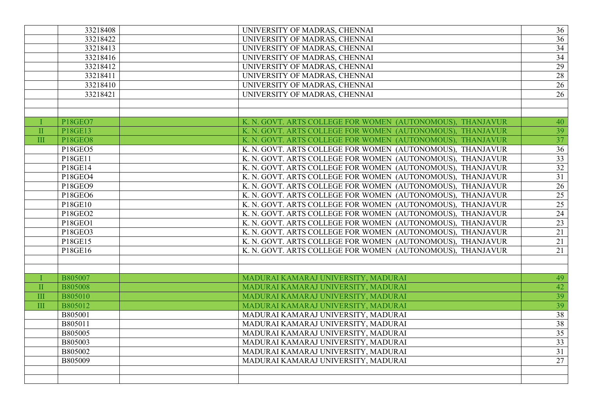|              | 33218408       | UNIVERSITY OF MADRAS, CHENNAI                              | 36              |
|--------------|----------------|------------------------------------------------------------|-----------------|
|              | 33218422       | UNIVERSITY OF MADRAS, CHENNAI                              | $\overline{36}$ |
|              | 33218413       | UNIVERSITY OF MADRAS, CHENNAI                              | $\overline{34}$ |
|              | 33218416       | UNIVERSITY OF MADRAS, CHENNAI                              | 34              |
|              | 33218412       | UNIVERSITY OF MADRAS, CHENNAI                              | 29              |
|              | 33218411       | UNIVERSITY OF MADRAS, CHENNAI                              | 28              |
|              | 33218410       | UNIVERSITY OF MADRAS, CHENNAI                              | $\overline{26}$ |
|              | 33218421       | UNIVERSITY OF MADRAS, CHENNAI                              | 26              |
|              |                |                                                            |                 |
|              |                |                                                            |                 |
|              | <b>P18GEO7</b> | K. N. GOVT. ARTS COLLEGE FOR WOMEN (AUTONOMOUS), THANJAVUR | 40              |
| $\mathbf{I}$ | P18GE13        | K. N. GOVT. ARTS COLLEGE FOR WOMEN (AUTONOMOUS), THANJAVUR | 39              |
| $\mathbf{I}$ | <b>P18GEO8</b> | K. N. GOVT. ARTS COLLEGE FOR WOMEN (AUTONOMOUS), THANJAVUR | $\overline{37}$ |
|              | P18GEO5        | K. N. GOVT. ARTS COLLEGE FOR WOMEN (AUTONOMOUS), THANJAVUR | $\overline{36}$ |
|              | P18GE11        | K. N. GOVT. ARTS COLLEGE FOR WOMEN (AUTONOMOUS), THANJAVUR | $\overline{33}$ |
|              | P18GE14        | K. N. GOVT. ARTS COLLEGE FOR WOMEN (AUTONOMOUS), THANJAVUR | 32              |
|              | P18GEO4        | K. N. GOVT. ARTS COLLEGE FOR WOMEN (AUTONOMOUS), THANJAVUR | 31              |
|              | P18GEO9        | K. N. GOVT. ARTS COLLEGE FOR WOMEN (AUTONOMOUS), THANJAVUR | $\overline{26}$ |
|              | P18GEO6        | K. N. GOVT. ARTS COLLEGE FOR WOMEN (AUTONOMOUS), THANJAVUR | $\overline{25}$ |
|              | P18GE10        | K. N. GOVT. ARTS COLLEGE FOR WOMEN (AUTONOMOUS), THANJAVUR | 25              |
|              | P18GEO2        | K. N. GOVT. ARTS COLLEGE FOR WOMEN (AUTONOMOUS), THANJAVUR | 24              |
|              | P18GEO1        | K. N. GOVT. ARTS COLLEGE FOR WOMEN (AUTONOMOUS), THANJAVUR | 23              |
|              | P18GEO3        | K. N. GOVT. ARTS COLLEGE FOR WOMEN (AUTONOMOUS), THANJAVUR | 21              |
|              | P18GE15        | K. N. GOVT. ARTS COLLEGE FOR WOMEN (AUTONOMOUS), THANJAVUR | 21              |
|              | P18GE16        | K. N. GOVT. ARTS COLLEGE FOR WOMEN (AUTONOMOUS), THANJAVUR | $\overline{21}$ |
|              |                |                                                            |                 |
|              |                |                                                            |                 |
|              | B805007        | MADURAI KAMARAJ UNIVERSITY, MADURAI                        | 49              |
| $\mathbf{I}$ | <b>B805008</b> | MADURAI KAMARAJ UNIVERSITY, MADURAI                        | 42              |
| III          | <b>B805010</b> | MADURAI KAMARAJ UNIVERSITY, MADURAI                        | 39              |
| III          | B805012        | MADURAI KAMARAJ UNIVERSITY, MADURAI                        | $\overline{39}$ |
|              | B805001        | MADURAI KAMARAJ UNIVERSITY, MADURAI                        | 38              |
|              | B805011        | MADURAI KAMARAJ UNIVERSITY, MADURAI                        | 38              |
|              | B805005        | MADURAI KAMARAJ UNIVERSITY, MADURAI                        | $\overline{35}$ |
|              | B805003        | MADURAI KAMARAJ UNIVERSITY, MADURAI                        | 33 <sup>2</sup> |
|              | B805002        | MADURAI KAMARAJ UNIVERSITY, MADURAI                        | 31              |
|              | B805009        | MADURAI KAMARAJ UNIVERSITY, MADURAI                        | 27              |
|              |                |                                                            |                 |
|              |                |                                                            |                 |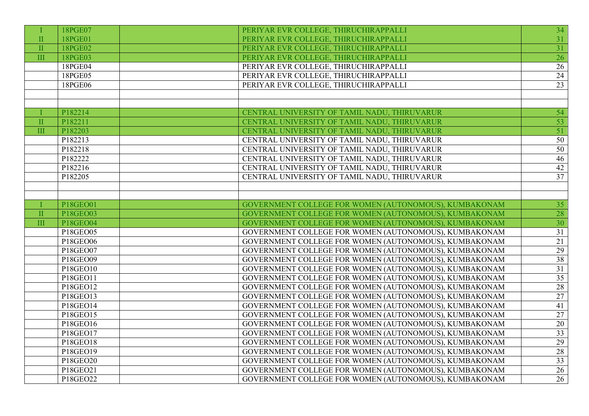|                         | 18PGE07                           | PERIYAR EVR COLLEGE, THIRUCHIRAPPALLI                 | 34              |
|-------------------------|-----------------------------------|-------------------------------------------------------|-----------------|
| $\mathbf{I}$            | 18PGE01                           | PERIYAR EVR COLLEGE, THIRUCHIRAPPALLI                 | 31              |
| $\prod$                 | 18PGE02                           | PERIYAR EVR COLLEGE, THIRUCHIRAPPALLI                 | $\overline{31}$ |
| III                     | 18PGE03                           | PERIYAR EVR COLLEGE, THIRUCHIRAPPALLI                 | 26              |
|                         | 18PGE04                           | PERIYAR EVR COLLEGE, THIRUCHIRAPPALLI                 | 26              |
|                         | 18PGE05                           | PERIYAR EVR COLLEGE, THIRUCHIRAPPALLI                 | 24              |
|                         | 18PGE06                           | PERIYAR EVR COLLEGE, THIRUCHIRAPPALLI                 | $\overline{23}$ |
|                         |                                   |                                                       |                 |
|                         |                                   |                                                       |                 |
|                         | P182214                           | CENTRAL UNIVERSITY OF TAMIL NADU, THIRUVARUR          | 54              |
| $\mathbf{I}$            | P182211                           | CENTRAL UNIVERSITY OF TAMIL NADU, THIRUVARUR          | 53              |
| $\overline{\mathbf{H}}$ | P182203                           | CENTRAL UNIVERSITY OF TAMIL NADU, THIRUVARUR          | $\overline{51}$ |
|                         | P182213                           | CENTRAL UNIVERSITY OF TAMIL NADU, THIRUVARUR          | 50              |
|                         | P182218                           | CENTRAL UNIVERSITY OF TAMIL NADU, THIRUVARUR          | 50              |
|                         | P182222                           | CENTRAL UNIVERSITY OF TAMIL NADU, THIRUVARUR          | 46              |
|                         | P182216                           | CENTRAL UNIVERSITY OF TAMIL NADU, THIRUVARUR          | 42              |
|                         | P182205                           | CENTRAL UNIVERSITY OF TAMIL NADU, THIRUVARUR          | $\overline{37}$ |
|                         |                                   |                                                       |                 |
|                         |                                   |                                                       |                 |
|                         | P18GEO01                          | GOVERNMENT COLLEGE FOR WOMEN (AUTONOMOUS), KUMBAKONAM | 35              |
| $\mathbf{I}$            | P18GEO03                          | GOVERNMENT COLLEGE FOR WOMEN (AUTONOMOUS), KUMBAKONAM | $\overline{28}$ |
| $\rm III$               | <b>P18GEO04</b>                   | GOVERNMENT COLLEGE FOR WOMEN (AUTONOMOUS), KUMBAKONAM | $\overline{30}$ |
|                         | P18GEO05                          | GOVERNMENT COLLEGE FOR WOMEN (AUTONOMOUS), KUMBAKONAM | $\overline{31}$ |
|                         | P18GEO06                          | GOVERNMENT COLLEGE FOR WOMEN (AUTONOMOUS), KUMBAKONAM | 21              |
|                         | P18GEO07                          | GOVERNMENT COLLEGE FOR WOMEN (AUTONOMOUS), KUMBAKONAM | 29              |
|                         | P18GEO09                          | GOVERNMENT COLLEGE FOR WOMEN (AUTONOMOUS), KUMBAKONAM | 38              |
|                         | P18GEO10                          | GOVERNMENT COLLEGE FOR WOMEN (AUTONOMOUS), KUMBAKONAM | $\overline{31}$ |
|                         | P18GEO11                          | GOVERNMENT COLLEGE FOR WOMEN (AUTONOMOUS), KUMBAKONAM | $\overline{35}$ |
|                         | P <sub>18</sub> GEO <sub>12</sub> | GOVERNMENT COLLEGE FOR WOMEN (AUTONOMOUS), KUMBAKONAM | 28              |
|                         | P18GEO13                          | GOVERNMENT COLLEGE FOR WOMEN (AUTONOMOUS), KUMBAKONAM | 27              |
|                         | P18GEO14                          | GOVERNMENT COLLEGE FOR WOMEN (AUTONOMOUS), KUMBAKONAM | $\overline{41}$ |
|                         | P18GEO15                          | GOVERNMENT COLLEGE FOR WOMEN (AUTONOMOUS), KUMBAKONAM | $\overline{27}$ |
|                         | P18GEO16                          | GOVERNMENT COLLEGE FOR WOMEN (AUTONOMOUS), KUMBAKONAM | 20              |
|                         | P18GEO17                          | GOVERNMENT COLLEGE FOR WOMEN (AUTONOMOUS), KUMBAKONAM | 33 <sup>2</sup> |
|                         | P18GEO18                          | GOVERNMENT COLLEGE FOR WOMEN (AUTONOMOUS), KUMBAKONAM | 29              |
|                         | P18GEO19                          | GOVERNMENT COLLEGE FOR WOMEN (AUTONOMOUS), KUMBAKONAM | 28              |
|                         | P18GEO20                          | GOVERNMENT COLLEGE FOR WOMEN (AUTONOMOUS), KUMBAKONAM | $\overline{33}$ |
|                         | $\overline{P18GEO21}$             | GOVERNMENT COLLEGE FOR WOMEN (AUTONOMOUS), KUMBAKONAM | 26              |
|                         | P18GEO22                          | GOVERNMENT COLLEGE FOR WOMEN (AUTONOMOUS), KUMBAKONAM | 26              |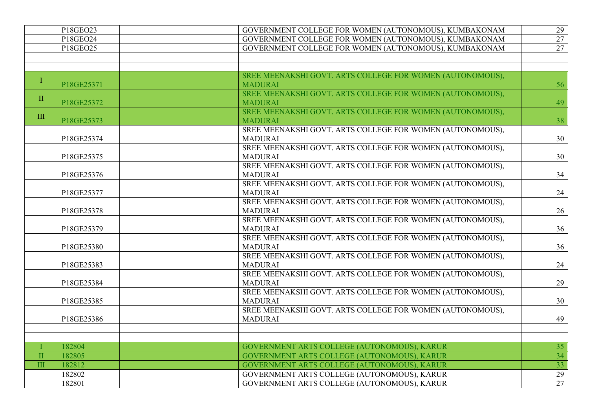|                      | P18GEO23   | GOVERNMENT COLLEGE FOR WOMEN (AUTONOMOUS), KUMBAKONAM     | 29              |
|----------------------|------------|-----------------------------------------------------------|-----------------|
|                      | P18GEO24   | GOVERNMENT COLLEGE FOR WOMEN (AUTONOMOUS), KUMBAKONAM     | 27              |
|                      | P18GEO25   | GOVERNMENT COLLEGE FOR WOMEN (AUTONOMOUS), KUMBAKONAM     | $\overline{27}$ |
|                      |            |                                                           |                 |
|                      |            |                                                           |                 |
|                      |            | SREE MEENAKSHI GOVT. ARTS COLLEGE FOR WOMEN (AUTONOMOUS), |                 |
| Ι                    | P18GE25371 | <b>MADURAI</b>                                            | 56              |
| $\rm II$             |            | SREE MEENAKSHI GOVT. ARTS COLLEGE FOR WOMEN (AUTONOMOUS), |                 |
|                      | P18GE25372 | <b>MADURAI</b>                                            | 49              |
| III                  |            | SREE MEENAKSHI GOVT. ARTS COLLEGE FOR WOMEN (AUTONOMOUS), |                 |
|                      | P18GE25373 | <b>MADURAI</b>                                            | 38              |
|                      |            | SREE MEENAKSHI GOVT. ARTS COLLEGE FOR WOMEN (AUTONOMOUS), |                 |
|                      | P18GE25374 | <b>MADURAI</b>                                            | 30              |
|                      |            | SREE MEENAKSHI GOVT. ARTS COLLEGE FOR WOMEN (AUTONOMOUS), |                 |
|                      | P18GE25375 | <b>MADURAI</b>                                            | 30              |
|                      |            | SREE MEENAKSHI GOVT. ARTS COLLEGE FOR WOMEN (AUTONOMOUS), |                 |
|                      | P18GE25376 | <b>MADURAI</b>                                            | 34              |
|                      |            | SREE MEENAKSHI GOVT. ARTS COLLEGE FOR WOMEN (AUTONOMOUS), |                 |
|                      | P18GE25377 | <b>MADURAI</b>                                            | 24              |
|                      |            | SREE MEENAKSHI GOVT. ARTS COLLEGE FOR WOMEN (AUTONOMOUS), |                 |
|                      | P18GE25378 | <b>MADURAI</b>                                            | 26              |
|                      |            | SREE MEENAKSHI GOVT. ARTS COLLEGE FOR WOMEN (AUTONOMOUS), |                 |
|                      | P18GE25379 | <b>MADURAI</b>                                            | 36              |
|                      |            | SREE MEENAKSHI GOVT. ARTS COLLEGE FOR WOMEN (AUTONOMOUS), |                 |
|                      | P18GE25380 | <b>MADURAI</b>                                            | 36              |
|                      |            | SREE MEENAKSHI GOVT. ARTS COLLEGE FOR WOMEN (AUTONOMOUS), |                 |
|                      | P18GE25383 | <b>MADURAI</b>                                            | 24              |
|                      |            | SREE MEENAKSHI GOVT. ARTS COLLEGE FOR WOMEN (AUTONOMOUS), |                 |
|                      | P18GE25384 | <b>MADURAI</b>                                            | 29              |
|                      |            | SREE MEENAKSHI GOVT. ARTS COLLEGE FOR WOMEN (AUTONOMOUS), |                 |
|                      | P18GE25385 | <b>MADURAI</b>                                            | 30              |
|                      |            | SREE MEENAKSHI GOVT. ARTS COLLEGE FOR WOMEN (AUTONOMOUS), |                 |
|                      | P18GE25386 | <b>MADURAI</b>                                            | 49              |
|                      |            |                                                           |                 |
|                      |            |                                                           |                 |
|                      | 182804     | GOVERNMENT ARTS COLLEGE (AUTONOMOUS), KARUR               | 35              |
| $\mathbf{I}$         | 182805     | GOVERNMENT ARTS COLLEGE (AUTONOMOUS), KARUR               | $\overline{34}$ |
| $\overline{\rm III}$ | 182812     | GOVERNMENT ARTS COLLEGE (AUTONOMOUS), KARUR               | $\overline{33}$ |
|                      | 182802     | GOVERNMENT ARTS COLLEGE (AUTONOMOUS), KARUR               | $\overline{29}$ |
|                      | 182801     | GOVERNMENT ARTS COLLEGE (AUTONOMOUS), KARUR               | 27              |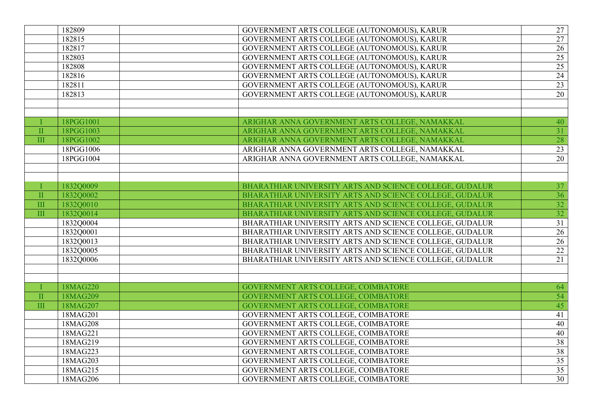|                  | 182809    | GOVERNMENT ARTS COLLEGE (AUTONOMOUS), KARUR             | 27              |
|------------------|-----------|---------------------------------------------------------|-----------------|
|                  | 182815    | GOVERNMENT ARTS COLLEGE (AUTONOMOUS), KARUR             | $\overline{27}$ |
|                  | 182817    | GOVERNMENT ARTS COLLEGE (AUTONOMOUS), KARUR             | 26              |
|                  | 182803    | GOVERNMENT ARTS COLLEGE (AUTONOMOUS), KARUR             | 25              |
|                  | 182808    | GOVERNMENT ARTS COLLEGE (AUTONOMOUS), KARUR             | 25              |
|                  | 182816    | GOVERNMENT ARTS COLLEGE (AUTONOMOUS), KARUR             | $\overline{24}$ |
|                  | 182811    | GOVERNMENT ARTS COLLEGE (AUTONOMOUS), KARUR             | $\overline{23}$ |
|                  | 182813    | GOVERNMENT ARTS COLLEGE (AUTONOMOUS), KARUR             | 20              |
|                  |           |                                                         |                 |
|                  | 18PGG1001 | ARIGHAR ANNA GOVERNMENT ARTS COLLEGE, NAMAKKAL          | 40              |
| $\rm II$         | 18PGG1003 | ARIGHAR ANNA GOVERNMENT ARTS COLLEGE, NAMAKKAL          | $\overline{31}$ |
| $\mathbf{I}$     | 18PGG1002 | ARIGHAR ANNA GOVERNMENT ARTS COLLEGE, NAMAKKAL          | $\overline{28}$ |
|                  | 18PGG1006 | ARIGHAR ANNA GOVERNMENT ARTS COLLEGE, NAMAKKAL          | $\overline{23}$ |
|                  | 18PGG1004 | ARIGHAR ANNA GOVERNMENT ARTS COLLEGE, NAMAKKAL          | $\overline{20}$ |
|                  |           |                                                         |                 |
|                  |           |                                                         |                 |
| T                | 1832Q0009 | BHARATHIAR UNIVERSITY ARTS AND SCIENCE COLLEGE, GUDALUR | 37              |
| $\mathbf{I}$     | 1832O0002 | BHARATHIAR UNIVERSITY ARTS AND SCIENCE COLLEGE, GUDALUR | 36              |
| III              | 1832Q0010 | BHARATHIAR UNIVERSITY ARTS AND SCIENCE COLLEGE, GUDALUR |                 |
| $\overline{III}$ | 1832Q0014 | BHARATHIAR UNIVERSITY ARTS AND SCIENCE COLLEGE, GUDALUR | $\frac{32}{32}$ |
|                  | 1832Q0004 | BHARATHIAR UNIVERSITY ARTS AND SCIENCE COLLEGE, GUDALUR | $\overline{31}$ |
|                  | 1832Q0001 | BHARATHIAR UNIVERSITY ARTS AND SCIENCE COLLEGE, GUDALUR | $\overline{26}$ |
|                  | 1832Q0013 | BHARATHIAR UNIVERSITY ARTS AND SCIENCE COLLEGE, GUDALUR | 26              |
|                  | 1832Q0005 | BHARATHIAR UNIVERSITY ARTS AND SCIENCE COLLEGE, GUDALUR | $\overline{22}$ |
|                  | 1832Q0006 | BHARATHIAR UNIVERSITY ARTS AND SCIENCE COLLEGE, GUDALUR | $\overline{21}$ |
|                  |           |                                                         |                 |
|                  |           |                                                         |                 |
| Т                | 18MAG220  | GOVERNMENT ARTS COLLEGE, COIMBATORE                     | 64              |
| $\mathbf{I}$     | 18MAG209  | <b>GOVERNMENT ARTS COLLEGE, COIMBATORE</b>              | 54              |
| III              | 18MAG207  | GOVERNMENT ARTS COLLEGE, COIMBATORE                     | 45              |
|                  | 18MAG201  | GOVERNMENT ARTS COLLEGE, COIMBATORE                     | 41              |
|                  | 18MAG208  | GOVERNMENT ARTS COLLEGE, COIMBATORE                     | 40              |
|                  | 18MAG221  | GOVERNMENT ARTS COLLEGE, COIMBATORE                     | 40              |
|                  | 18MAG219  | GOVERNMENT ARTS COLLEGE, COIMBATORE                     | 38              |
|                  | 18MAG223  | GOVERNMENT ARTS COLLEGE, COIMBATORE                     | 38              |
|                  | 18MAG203  | GOVERNMENT ARTS COLLEGE, COIMBATORE                     | 35              |
|                  | 18MAG215  | GOVERNMENT ARTS COLLEGE, COIMBATORE                     | 35              |
|                  | 18MAG206  | GOVERNMENT ARTS COLLEGE, COIMBATORE                     | $\overline{30}$ |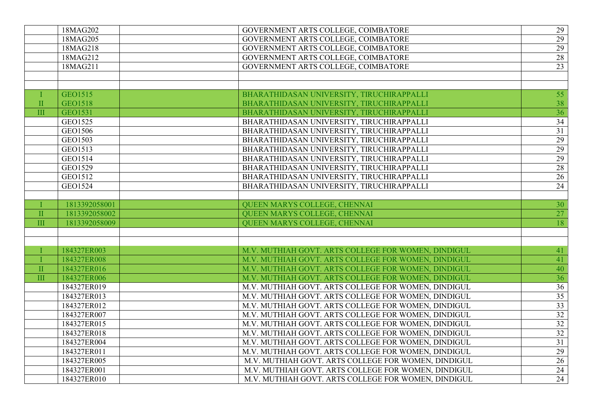| GOVERNMENT ARTS COLLEGE, COIMBATORE<br>$\overline{29}$<br>18MAG205<br>29<br>GOVERNMENT ARTS COLLEGE, COIMBATORE<br>18MAG218<br>GOVERNMENT ARTS COLLEGE, COIMBATORE<br>28<br>18MAG212<br>GOVERNMENT ARTS COLLEGE, COIMBATORE<br>$\overline{23}$<br>18MAG211<br>GEO1515<br>55<br>BHARATHIDASAN UNIVERSITY, TIRUCHIRAPPALLI<br>T<br><b>GEO1518</b><br>BHARATHIDASAN UNIVERSITY, TIRUCHIRAPPALLI<br>38<br>$\mathbf{I}$<br>$\mathop{\rm III}$<br>GEO1531<br>BHARATHIDASAN UNIVERSITY, TIRUCHIRAPPALLI<br>36<br>GEO1525<br>BHARATHIDASAN UNIVERSITY, TIRUCHIRAPPALLI<br>34<br>$\overline{31}$<br>GEO1506<br>BHARATHIDASAN UNIVERSITY, TIRUCHIRAPPALLI<br>29<br>GEO1503<br>BHARATHIDASAN UNIVERSITY, TIRUCHIRAPPALLI<br>29<br>GEO1513<br>BHARATHIDASAN UNIVERSITY, TIRUCHIRAPPALLI<br>29<br>GEO1514<br>BHARATHIDASAN UNIVERSITY, TIRUCHIRAPPALLI |
|-------------------------------------------------------------------------------------------------------------------------------------------------------------------------------------------------------------------------------------------------------------------------------------------------------------------------------------------------------------------------------------------------------------------------------------------------------------------------------------------------------------------------------------------------------------------------------------------------------------------------------------------------------------------------------------------------------------------------------------------------------------------------------------------------------------------------------------------|
|                                                                                                                                                                                                                                                                                                                                                                                                                                                                                                                                                                                                                                                                                                                                                                                                                                           |
|                                                                                                                                                                                                                                                                                                                                                                                                                                                                                                                                                                                                                                                                                                                                                                                                                                           |
|                                                                                                                                                                                                                                                                                                                                                                                                                                                                                                                                                                                                                                                                                                                                                                                                                                           |
|                                                                                                                                                                                                                                                                                                                                                                                                                                                                                                                                                                                                                                                                                                                                                                                                                                           |
|                                                                                                                                                                                                                                                                                                                                                                                                                                                                                                                                                                                                                                                                                                                                                                                                                                           |
|                                                                                                                                                                                                                                                                                                                                                                                                                                                                                                                                                                                                                                                                                                                                                                                                                                           |
|                                                                                                                                                                                                                                                                                                                                                                                                                                                                                                                                                                                                                                                                                                                                                                                                                                           |
|                                                                                                                                                                                                                                                                                                                                                                                                                                                                                                                                                                                                                                                                                                                                                                                                                                           |
|                                                                                                                                                                                                                                                                                                                                                                                                                                                                                                                                                                                                                                                                                                                                                                                                                                           |
|                                                                                                                                                                                                                                                                                                                                                                                                                                                                                                                                                                                                                                                                                                                                                                                                                                           |
|                                                                                                                                                                                                                                                                                                                                                                                                                                                                                                                                                                                                                                                                                                                                                                                                                                           |
|                                                                                                                                                                                                                                                                                                                                                                                                                                                                                                                                                                                                                                                                                                                                                                                                                                           |
|                                                                                                                                                                                                                                                                                                                                                                                                                                                                                                                                                                                                                                                                                                                                                                                                                                           |
|                                                                                                                                                                                                                                                                                                                                                                                                                                                                                                                                                                                                                                                                                                                                                                                                                                           |
| BHARATHIDASAN UNIVERSITY, TIRUCHIRAPPALLI<br>GEO1529<br>28                                                                                                                                                                                                                                                                                                                                                                                                                                                                                                                                                                                                                                                                                                                                                                                |
| BHARATHIDASAN UNIVERSITY, TIRUCHIRAPPALLI<br>GEO1512<br>26                                                                                                                                                                                                                                                                                                                                                                                                                                                                                                                                                                                                                                                                                                                                                                                |
| GEO1524<br>BHARATHIDASAN UNIVERSITY, TIRUCHIRAPPALLI<br>24                                                                                                                                                                                                                                                                                                                                                                                                                                                                                                                                                                                                                                                                                                                                                                                |
|                                                                                                                                                                                                                                                                                                                                                                                                                                                                                                                                                                                                                                                                                                                                                                                                                                           |
| 1813392058001<br>QUEEN MARYS COLLEGE, CHENNAI<br>30<br>Т.                                                                                                                                                                                                                                                                                                                                                                                                                                                                                                                                                                                                                                                                                                                                                                                 |
| 27<br>1813392058002<br>QUEEN MARYS COLLEGE, CHENNAI<br>$\rm II$                                                                                                                                                                                                                                                                                                                                                                                                                                                                                                                                                                                                                                                                                                                                                                           |
| $\overline{\mathbf{H}}$<br>18<br>1813392058009<br>QUEEN MARYS COLLEGE, CHENNAI                                                                                                                                                                                                                                                                                                                                                                                                                                                                                                                                                                                                                                                                                                                                                            |
|                                                                                                                                                                                                                                                                                                                                                                                                                                                                                                                                                                                                                                                                                                                                                                                                                                           |
|                                                                                                                                                                                                                                                                                                                                                                                                                                                                                                                                                                                                                                                                                                                                                                                                                                           |
| 184327ER003<br>M.V. MUTHIAH GOVT. ARTS COLLEGE FOR WOMEN, DINDIGUL<br>41<br>I                                                                                                                                                                                                                                                                                                                                                                                                                                                                                                                                                                                                                                                                                                                                                             |
| 184327ER008<br>M.V. MUTHIAH GOVT. ARTS COLLEGE FOR WOMEN, DINDIGUL<br>41<br>T                                                                                                                                                                                                                                                                                                                                                                                                                                                                                                                                                                                                                                                                                                                                                             |
| M.V. MUTHIAH GOVT. ARTS COLLEGE FOR WOMEN, DINDIGUL<br>$\rm II$<br>184327ER016<br>40                                                                                                                                                                                                                                                                                                                                                                                                                                                                                                                                                                                                                                                                                                                                                      |
| III<br>M.V. MUTHIAH GOVT. ARTS COLLEGE FOR WOMEN, DINDIGUL<br>184327ER006<br>36                                                                                                                                                                                                                                                                                                                                                                                                                                                                                                                                                                                                                                                                                                                                                           |
| M.V. MUTHIAH GOVT. ARTS COLLEGE FOR WOMEN, DINDIGUL<br>184327ER019<br>36                                                                                                                                                                                                                                                                                                                                                                                                                                                                                                                                                                                                                                                                                                                                                                  |
| M.V. MUTHIAH GOVT. ARTS COLLEGE FOR WOMEN, DINDIGUL<br>35<br>184327ER013                                                                                                                                                                                                                                                                                                                                                                                                                                                                                                                                                                                                                                                                                                                                                                  |
| $\overline{33}$<br>M.V. MUTHIAH GOVT. ARTS COLLEGE FOR WOMEN, DINDIGUL<br>184327ER012                                                                                                                                                                                                                                                                                                                                                                                                                                                                                                                                                                                                                                                                                                                                                     |
| 32<br>184327ER007<br>M.V. MUTHIAH GOVT. ARTS COLLEGE FOR WOMEN, DINDIGUL                                                                                                                                                                                                                                                                                                                                                                                                                                                                                                                                                                                                                                                                                                                                                                  |
| 32<br>M.V. MUTHIAH GOVT. ARTS COLLEGE FOR WOMEN, DINDIGUL<br>184327ER015                                                                                                                                                                                                                                                                                                                                                                                                                                                                                                                                                                                                                                                                                                                                                                  |
| $\overline{32}$<br>184327ER018<br>M.V. MUTHIAH GOVT. ARTS COLLEGE FOR WOMEN, DINDIGUL                                                                                                                                                                                                                                                                                                                                                                                                                                                                                                                                                                                                                                                                                                                                                     |
| 31<br>M.V. MUTHIAH GOVT. ARTS COLLEGE FOR WOMEN, DINDIGUL<br>184327ER004                                                                                                                                                                                                                                                                                                                                                                                                                                                                                                                                                                                                                                                                                                                                                                  |
| 29<br>184327ER011<br>M.V. MUTHIAH GOVT. ARTS COLLEGE FOR WOMEN, DINDIGUL                                                                                                                                                                                                                                                                                                                                                                                                                                                                                                                                                                                                                                                                                                                                                                  |
| M.V. MUTHIAH GOVT. ARTS COLLEGE FOR WOMEN, DINDIGUL<br>26<br>184327ER005                                                                                                                                                                                                                                                                                                                                                                                                                                                                                                                                                                                                                                                                                                                                                                  |
| M.V. MUTHIAH GOVT. ARTS COLLEGE FOR WOMEN, DINDIGUL<br>24<br>184327ER001                                                                                                                                                                                                                                                                                                                                                                                                                                                                                                                                                                                                                                                                                                                                                                  |
| M.V. MUTHIAH GOVT. ARTS COLLEGE FOR WOMEN, DINDIGUL<br>24<br>184327ER010                                                                                                                                                                                                                                                                                                                                                                                                                                                                                                                                                                                                                                                                                                                                                                  |